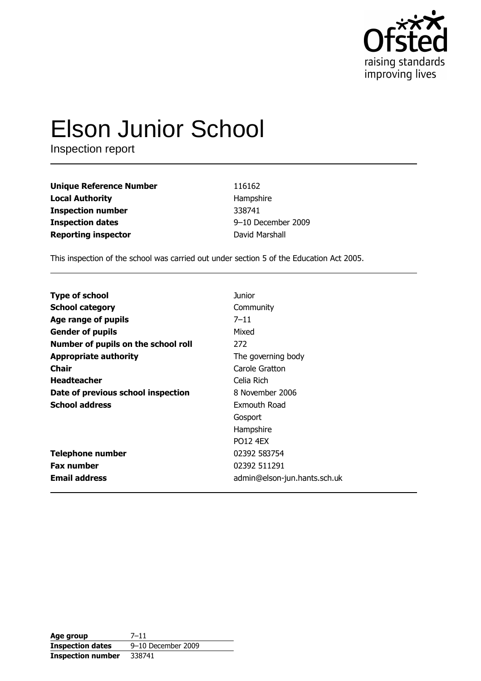

# **Elson Junior School**

Inspection report

| <b>Unique Reference Number</b> | 116162             |
|--------------------------------|--------------------|
| <b>Local Authority</b>         | Hampshire          |
| <b>Inspection number</b>       | 338741             |
| <b>Inspection dates</b>        | 9-10 December 2009 |
| <b>Reporting inspector</b>     | David Marshall     |

This inspection of the school was carried out under section 5 of the Education Act 2005.

| <b>Type of school</b>               | Junior                       |
|-------------------------------------|------------------------------|
| <b>School category</b>              | Community                    |
| Age range of pupils                 | $7 - 11$                     |
| <b>Gender of pupils</b>             | Mixed                        |
| Number of pupils on the school roll | 272                          |
| <b>Appropriate authority</b>        | The governing body           |
| Chair                               | Carole Gratton               |
| <b>Headteacher</b>                  | Celia Rich                   |
| Date of previous school inspection  | 8 November 2006              |
| <b>School address</b>               | Exmouth Road                 |
|                                     | Gosport                      |
|                                     | Hampshire                    |
|                                     | <b>PO12 4FX</b>              |
| <b>Telephone number</b>             | 02392 583754                 |
| <b>Fax number</b>                   | 02392 511291                 |
| <b>Email address</b>                | admin@elson-jun.hants.sch.uk |

| Age group                | $7 - 11$           |
|--------------------------|--------------------|
| <b>Inspection dates</b>  | 9-10 December 2009 |
| <b>Inspection number</b> | 338741             |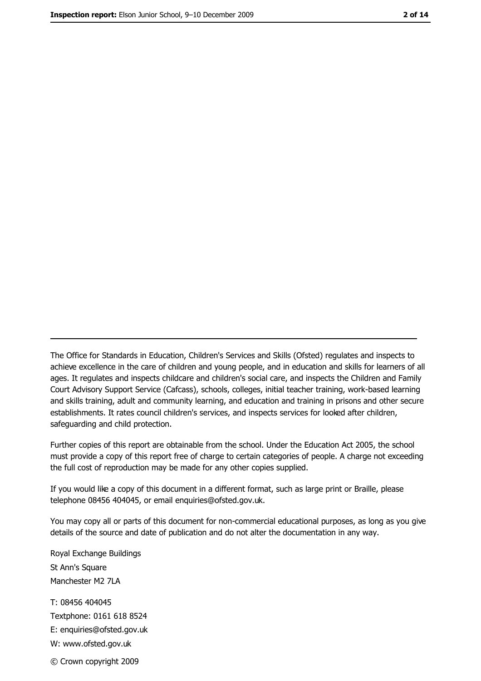The Office for Standards in Education, Children's Services and Skills (Ofsted) regulates and inspects to achieve excellence in the care of children and young people, and in education and skills for learners of all ages. It regulates and inspects childcare and children's social care, and inspects the Children and Family Court Advisory Support Service (Cafcass), schools, colleges, initial teacher training, work-based learning and skills training, adult and community learning, and education and training in prisons and other secure establishments. It rates council children's services, and inspects services for looked after children, safequarding and child protection.

Further copies of this report are obtainable from the school. Under the Education Act 2005, the school must provide a copy of this report free of charge to certain categories of people. A charge not exceeding the full cost of reproduction may be made for any other copies supplied.

If you would like a copy of this document in a different format, such as large print or Braille, please telephone 08456 404045, or email enquiries@ofsted.gov.uk.

You may copy all or parts of this document for non-commercial educational purposes, as long as you give details of the source and date of publication and do not alter the documentation in any way.

Royal Exchange Buildings St Ann's Square Manchester M2 7LA T: 08456 404045 Textphone: 0161 618 8524 E: enquiries@ofsted.gov.uk W: www.ofsted.gov.uk © Crown copyright 2009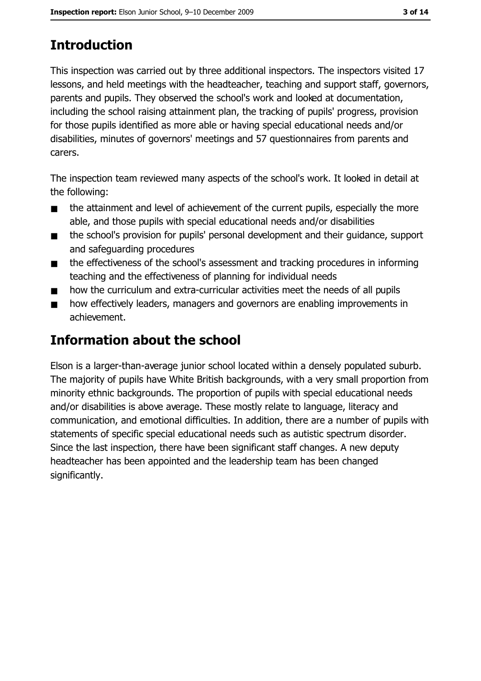# **Introduction**

This inspection was carried out by three additional inspectors. The inspectors visited 17 lessons, and held meetings with the headteacher, teaching and support staff, governors, parents and pupils. They observed the school's work and looked at documentation, including the school raising attainment plan, the tracking of pupils' progress, provision for those pupils identified as more able or having special educational needs and/or disabilities, minutes of governors' meetings and 57 guestionnaires from parents and carers.

The inspection team reviewed many aspects of the school's work. It looked in detail at the following:

- the attainment and level of achievement of the current pupils, especially the more  $\blacksquare$ able, and those pupils with special educational needs and/or disabilities
- the school's provision for pupils' personal development and their quidance, support  $\blacksquare$ and safequarding procedures
- the effectiveness of the school's assessment and tracking procedures in informing  $\blacksquare$ teaching and the effectiveness of planning for individual needs
- how the curriculum and extra-curricular activities meet the needs of all pupils  $\blacksquare$
- how effectively leaders, managers and governors are enabling improvements in  $\blacksquare$ achievement.

# **Information about the school**

Elson is a larger-than-average junior school located within a densely populated suburb. The majority of pupils have White British backgrounds, with a very small proportion from minority ethnic backgrounds. The proportion of pupils with special educational needs and/or disabilities is above average. These mostly relate to language, literacy and communication, and emotional difficulties. In addition, there are a number of pupils with statements of specific special educational needs such as autistic spectrum disorder. Since the last inspection, there have been significant staff changes. A new deputy headteacher has been appointed and the leadership team has been changed significantly.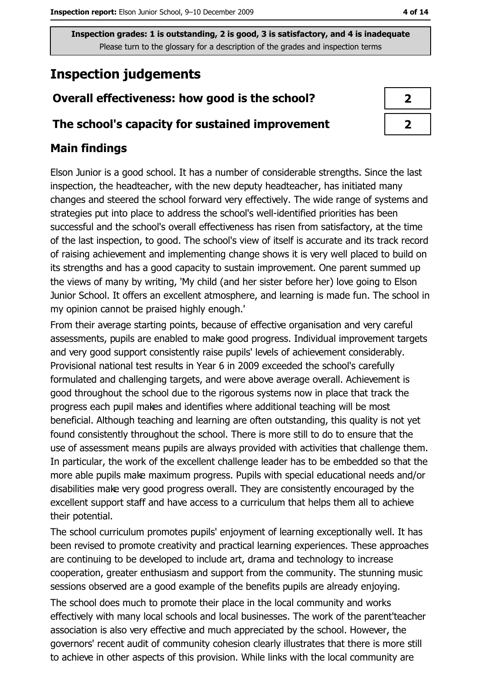# **Inspection judgements**

# Overall effectiveness: how good is the school?

#### The school's capacity for sustained improvement

## **Main findings**

Elson Junior is a good school. It has a number of considerable strengths. Since the last inspection, the headteacher, with the new deputy headteacher, has initiated many changes and steered the school forward very effectively. The wide range of systems and strategies put into place to address the school's well-identified priorities has been successful and the school's overall effectiveness has risen from satisfactory, at the time of the last inspection, to good. The school's view of itself is accurate and its track record of raising achievement and implementing change shows it is very well placed to build on its strengths and has a good capacity to sustain improvement. One parent summed up the views of many by writing, 'My child (and her sister before her) love going to Elson Junior School. It offers an excellent atmosphere, and learning is made fun. The school in my opinion cannot be praised highly enough."

From their average starting points, because of effective organisation and very careful assessments, pupils are enabled to make good progress. Individual improvement targets and very good support consistently raise pupils' levels of achievement considerably. Provisional national test results in Year 6 in 2009 exceeded the school's carefully formulated and challenging targets, and were above average overall. Achievement is good throughout the school due to the rigorous systems now in place that track the progress each pupil makes and identifies where additional teaching will be most beneficial. Although teaching and learning are often outstanding, this quality is not yet found consistently throughout the school. There is more still to do to ensure that the use of assessment means pupils are always provided with activities that challenge them. In particular, the work of the excellent challenge leader has to be embedded so that the more able pupils make maximum progress. Pupils with special educational needs and/or disabilities make very good progress overall. They are consistently encouraged by the excellent support staff and have access to a curriculum that helps them all to achieve their potential.

The school curriculum promotes pupils' enjoyment of learning exceptionally well. It has been revised to promote creativity and practical learning experiences. These approaches are continuing to be developed to include art, drama and technology to increase cooperation, greater enthusiasm and support from the community. The stunning music sessions observed are a good example of the benefits pupils are already enjoying.

The school does much to promote their place in the local community and works effectively with many local schools and local businesses. The work of the parent'teacher association is also very effective and much appreciated by the school. However, the governors' recent audit of community cohesion clearly illustrates that there is more still to achieve in other aspects of this provision. While links with the local community are

| 2 |  |
|---|--|
| 7 |  |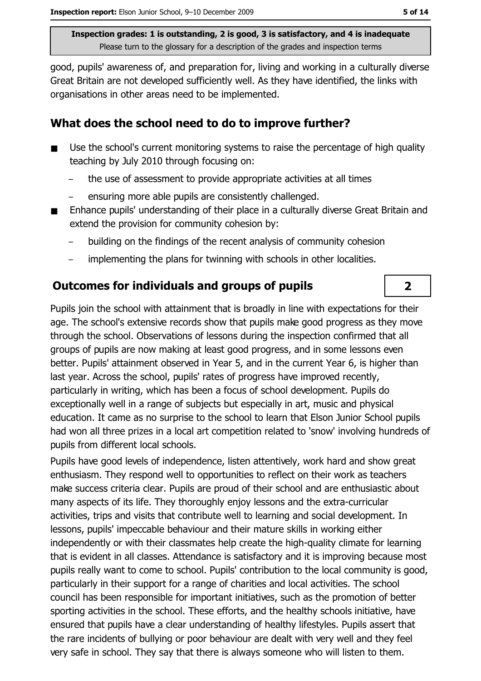good, pupils' awareness of, and preparation for, living and working in a culturally diverse Great Britain are not developed sufficiently well. As they have identified, the links with organisations in other areas need to be implemented.

### What does the school need to do to improve further?

- Use the school's current monitoring systems to raise the percentage of high quality  $\blacksquare$ teaching by July 2010 through focusing on:
	- the use of assessment to provide appropriate activities at all times
	- ensuring more able pupils are consistently challenged.
- Enhance pupils' understanding of their place in a culturally diverse Great Britain and extend the provision for community cohesion by:
	- building on the findings of the recent analysis of community cohesion
	- implementing the plans for twinning with schools in other localities.

## **Outcomes for individuals and groups of pupils**

Pupils join the school with attainment that is broadly in line with expectations for their age. The school's extensive records show that pupils make good progress as they move through the school. Observations of lessons during the inspection confirmed that all groups of pupils are now making at least good progress, and in some lessons even better. Pupils' attainment observed in Year 5, and in the current Year 6, is higher than last year. Across the school, pupils' rates of progress have improved recently, particularly in writing, which has been a focus of school development. Pupils do exceptionally well in a range of subjects but especially in art, music and physical education. It came as no surprise to the school to learn that Elson Junior School pupils had won all three prizes in a local art competition related to 'snow' involving hundreds of pupils from different local schools.

Pupils have good levels of independence, listen attentively, work hard and show great enthusiasm. They respond well to opportunities to reflect on their work as teachers make success criteria clear. Pupils are proud of their school and are enthusiastic about many aspects of its life. They thoroughly enjoy lessons and the extra-curricular activities, trips and visits that contribute well to learning and social development. In lessons, pupils' impeccable behaviour and their mature skills in working either independently or with their classmates help create the high-quality climate for learning that is evident in all classes. Attendance is satisfactory and it is improving because most pupils really want to come to school. Pupils' contribution to the local community is good, particularly in their support for a range of charities and local activities. The school council has been responsible for important initiatives, such as the promotion of better sporting activities in the school. These efforts, and the healthy schools initiative, have ensured that pupils have a clear understanding of healthy lifestyles. Pupils assert that the rare incidents of bullying or poor behaviour are dealt with very well and they feel very safe in school. They say that there is always someone who will listen to them.

 $\overline{2}$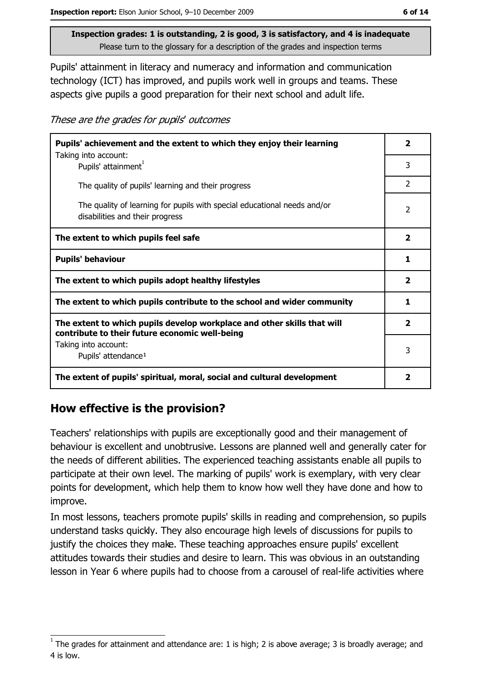Pupils' attainment in literacy and numeracy and information and communication technology (ICT) has improved, and pupils work well in groups and teams. These aspects give pupils a good preparation for their next school and adult life.

These are the grades for pupils' outcomes

| Pupils' achievement and the extent to which they enjoy their learning<br>Taking into account:                             | 2                        |
|---------------------------------------------------------------------------------------------------------------------------|--------------------------|
| Pupils' attainment <sup>1</sup>                                                                                           | 3                        |
| The quality of pupils' learning and their progress                                                                        | $\overline{2}$           |
| The quality of learning for pupils with special educational needs and/or<br>disabilities and their progress               | $\overline{\phantom{a}}$ |
| The extent to which pupils feel safe                                                                                      | $\overline{\mathbf{2}}$  |
| <b>Pupils' behaviour</b>                                                                                                  | 1                        |
| The extent to which pupils adopt healthy lifestyles                                                                       | $\mathbf{2}$             |
| The extent to which pupils contribute to the school and wider community                                                   |                          |
| The extent to which pupils develop workplace and other skills that will<br>contribute to their future economic well-being | $\overline{\mathbf{2}}$  |
| Taking into account:<br>Pupils' attendance <sup>1</sup>                                                                   | 3                        |
| The extent of pupils' spiritual, moral, social and cultural development                                                   | $\mathbf{2}$             |

## How effective is the provision?

Teachers' relationships with pupils are exceptionally good and their management of behaviour is excellent and unobtrusive. Lessons are planned well and generally cater for the needs of different abilities. The experienced teaching assistants enable all pupils to participate at their own level. The marking of pupils' work is exemplary, with very clear points for development, which help them to know how well they have done and how to improve.

In most lessons, teachers promote pupils' skills in reading and comprehension, so pupils understand tasks quickly. They also encourage high levels of discussions for pupils to justify the choices they make. These teaching approaches ensure pupils' excellent attitudes towards their studies and desire to learn. This was obvious in an outstanding lesson in Year 6 where pupils had to choose from a carousel of real-life activities where

The grades for attainment and attendance are: 1 is high; 2 is above average; 3 is broadly average; and 4 is low.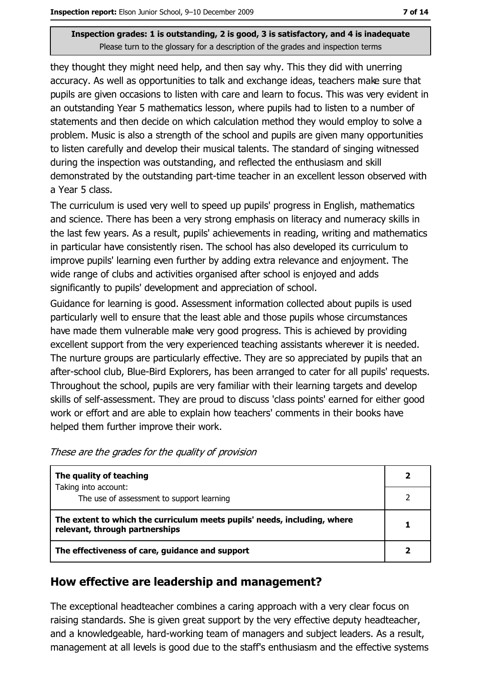they thought they might need help, and then say why. This they did with unerring accuracy. As well as opportunities to talk and exchange ideas, teachers make sure that pupils are given occasions to listen with care and learn to focus. This was very evident in an outstanding Year 5 mathematics lesson, where pupils had to listen to a number of statements and then decide on which calculation method they would employ to solve a problem. Music is also a strength of the school and pupils are given many opportunities to listen carefully and develop their musical talents. The standard of singing witnessed during the inspection was outstanding, and reflected the enthusiasm and skill demonstrated by the outstanding part-time teacher in an excellent lesson observed with a Year 5 class.

The curriculum is used very well to speed up pupils' progress in English, mathematics and science. There has been a very strong emphasis on literacy and numeracy skills in the last few years. As a result, pupils' achievements in reading, writing and mathematics in particular have consistently risen. The school has also developed its curriculum to improve pupils' learning even further by adding extra relevance and enjoyment. The wide range of clubs and activities organised after school is enjoyed and adds significantly to pupils' development and appreciation of school.

Guidance for learning is good. Assessment information collected about pupils is used particularly well to ensure that the least able and those pupils whose circumstances have made them vulnerable make very good progress. This is achieved by providing excellent support from the very experienced teaching assistants wherever it is needed. The nurture groups are particularly effective. They are so appreciated by pupils that an after-school club, Blue-Bird Explorers, has been arranged to cater for all pupils' requests. Throughout the school, pupils are very familiar with their learning targets and develop skills of self-assessment. They are proud to discuss 'class points' earned for either good work or effort and are able to explain how teachers' comments in their books have helped them further improve their work.

| The quality of teaching                                                                                    |  |
|------------------------------------------------------------------------------------------------------------|--|
| Taking into account:<br>The use of assessment to support learning                                          |  |
| The extent to which the curriculum meets pupils' needs, including, where<br>relevant, through partnerships |  |
| The effectiveness of care, guidance and support                                                            |  |

These are the grades for the quality of provision

#### How effective are leadership and management?

The exceptional headteacher combines a caring approach with a very clear focus on raising standards. She is given great support by the very effective deputy headteacher, and a knowledgeable, hard-working team of managers and subject leaders. As a result, management at all levels is good due to the staff's enthusiasm and the effective systems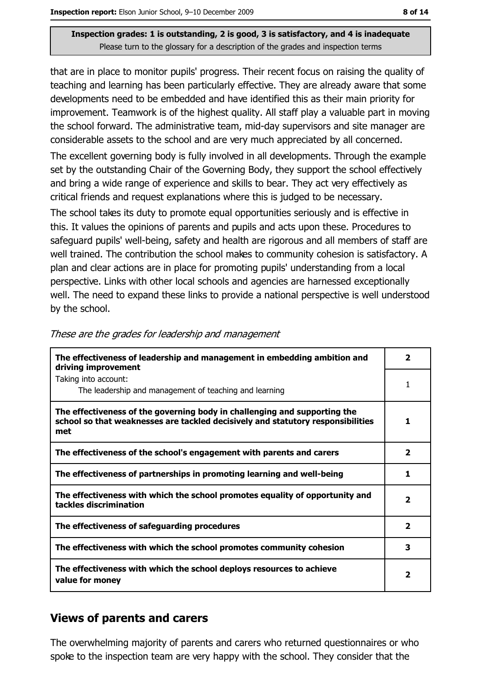that are in place to monitor pupils' progress. Their recent focus on raising the quality of teaching and learning has been particularly effective. They are already aware that some developments need to be embedded and have identified this as their main priority for improvement. Teamwork is of the highest quality. All staff play a valuable part in moving the school forward. The administrative team, mid-day supervisors and site manager are considerable assets to the school and are very much appreciated by all concerned. The excellent governing body is fully involved in all developments. Through the example set by the outstanding Chair of the Governing Body, they support the school effectively and bring a wide range of experience and skills to bear. They act very effectively as critical friends and request explanations where this is judged to be necessary.

The school takes its duty to promote equal opportunities seriously and is effective in this. It values the opinions of parents and pupils and acts upon these. Procedures to safeguard pupils' well-being, safety and health are rigorous and all members of staff are well trained. The contribution the school makes to community cohesion is satisfactory. A plan and clear actions are in place for promoting pupils' understanding from a local perspective. Links with other local schools and agencies are harnessed exceptionally well. The need to expand these links to provide a national perspective is well understood by the school.

| The effectiveness of leadership and management in embedding ambition and<br>driving improvement                                                                     | 2 |
|---------------------------------------------------------------------------------------------------------------------------------------------------------------------|---|
| Taking into account:<br>The leadership and management of teaching and learning                                                                                      |   |
| The effectiveness of the governing body in challenging and supporting the<br>school so that weaknesses are tackled decisively and statutory responsibilities<br>met |   |
| The effectiveness of the school's engagement with parents and carers                                                                                                | 2 |
| The effectiveness of partnerships in promoting learning and well-being                                                                                              | 1 |
| The effectiveness with which the school promotes equality of opportunity and<br>tackles discrimination                                                              | 2 |
| The effectiveness of safeguarding procedures                                                                                                                        | 2 |
| The effectiveness with which the school promotes community cohesion                                                                                                 | 3 |
| The effectiveness with which the school deploys resources to achieve<br>value for money                                                                             | 2 |

|  |  | These are the grades for leadership and management |
|--|--|----------------------------------------------------|
|  |  |                                                    |

## **Views of parents and carers**

The overwhelming majority of parents and carers who returned questionnaires or who spoke to the inspection team are very happy with the school. They consider that the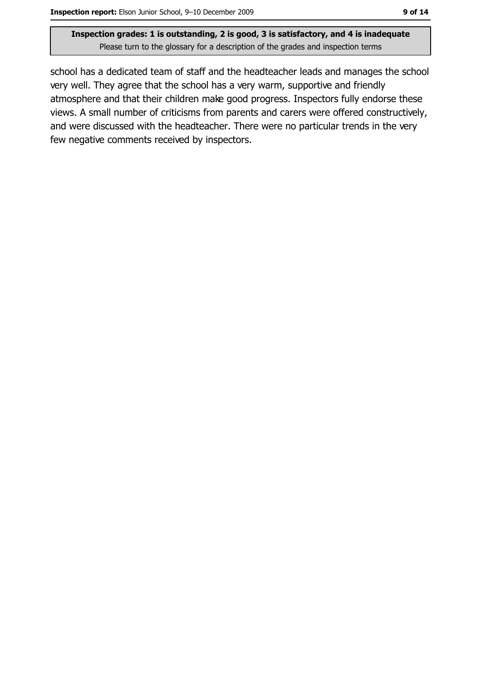school has a dedicated team of staff and the headteacher leads and manages the school very well. They agree that the school has a very warm, supportive and friendly atmosphere and that their children make good progress. Inspectors fully endorse these views. A small number of criticisms from parents and carers were offered constructively, and were discussed with the headteacher. There were no particular trends in the very few negative comments received by inspectors.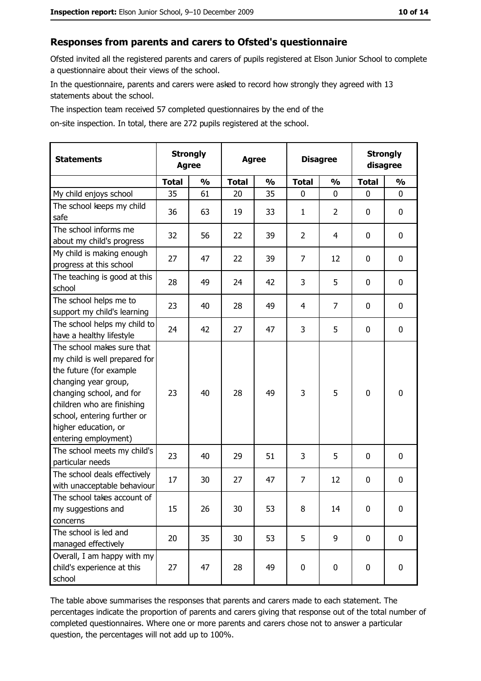#### Responses from parents and carers to Ofsted's questionnaire

Ofsted invited all the registered parents and carers of pupils registered at Elson Junior School to complete a questionnaire about their views of the school.

In the questionnaire, parents and carers were asked to record how strongly they agreed with 13 statements about the school.

The inspection team received 57 completed questionnaires by the end of the

on-site inspection. In total, there are 272 pupils registered at the school.

| <b>Statements</b>                                                                                                                                                                                                                                       | <b>Strongly</b><br><b>Agree</b> |               | <b>Agree</b> |               | <b>Disagree</b> |                | <b>Strongly</b><br>disagree |               |
|---------------------------------------------------------------------------------------------------------------------------------------------------------------------------------------------------------------------------------------------------------|---------------------------------|---------------|--------------|---------------|-----------------|----------------|-----------------------------|---------------|
|                                                                                                                                                                                                                                                         | <b>Total</b>                    | $\frac{0}{0}$ | <b>Total</b> | $\frac{0}{0}$ | <b>Total</b>    | $\frac{1}{2}$  | <b>Total</b>                | $\frac{1}{2}$ |
| My child enjoys school                                                                                                                                                                                                                                  | 35                              | 61            | 20           | 35            | $\overline{0}$  | 0              | 0                           | $\mathbf{0}$  |
| The school keeps my child<br>safe                                                                                                                                                                                                                       | 36                              | 63            | 19           | 33            | $\mathbf{1}$    | $\overline{2}$ | 0                           | 0             |
| The school informs me<br>about my child's progress                                                                                                                                                                                                      | 32                              | 56            | 22           | 39            | $\overline{2}$  | 4              | 0                           | $\mathbf 0$   |
| My child is making enough<br>progress at this school                                                                                                                                                                                                    | 27                              | 47            | 22           | 39            | 7               | 12             | 0                           | 0             |
| The teaching is good at this<br>school                                                                                                                                                                                                                  | 28                              | 49            | 24           | 42            | 3               | 5              | 0                           | $\mathbf 0$   |
| The school helps me to<br>support my child's learning                                                                                                                                                                                                   | 23                              | 40            | 28           | 49            | 4               | $\overline{7}$ | 0                           | $\mathbf 0$   |
| The school helps my child to<br>have a healthy lifestyle                                                                                                                                                                                                | 24                              | 42            | 27           | 47            | 3               | 5              | 0                           | 0             |
| The school makes sure that<br>my child is well prepared for<br>the future (for example<br>changing year group,<br>changing school, and for<br>children who are finishing<br>school, entering further or<br>higher education, or<br>entering employment) | 23                              | 40            | 28           | 49            | 3               | 5              | 0                           | $\mathbf 0$   |
| The school meets my child's<br>particular needs                                                                                                                                                                                                         | 23                              | 40            | 29           | 51            | 3               | 5              | 0                           | $\mathbf 0$   |
| The school deals effectively<br>with unacceptable behaviour                                                                                                                                                                                             | 17                              | 30            | 27           | 47            | $\overline{7}$  | 12             | 0                           | 0             |
| The school takes account of<br>my suggestions and<br>concerns                                                                                                                                                                                           | 15                              | 26            | 30           | 53            | 8               | 14             | 0                           | 0             |
| The school is led and<br>managed effectively                                                                                                                                                                                                            | 20                              | 35            | 30           | 53            | 5               | 9              | $\mathbf 0$                 | $\mathbf 0$   |
| Overall, I am happy with my<br>child's experience at this<br>school                                                                                                                                                                                     | 27                              | 47            | 28           | 49            | $\pmb{0}$       | 0              | 0                           | 0             |

The table above summarises the responses that parents and carers made to each statement. The percentages indicate the proportion of parents and carers giving that response out of the total number of completed questionnaires. Where one or more parents and carers chose not to answer a particular question, the percentages will not add up to 100%.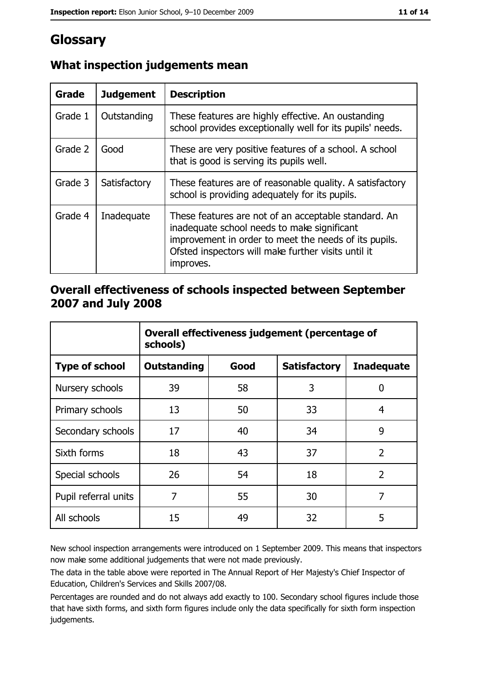# Glossary

| Grade   | <b>Judgement</b> | <b>Description</b>                                                                                                                                                                                                               |
|---------|------------------|----------------------------------------------------------------------------------------------------------------------------------------------------------------------------------------------------------------------------------|
| Grade 1 | Outstanding      | These features are highly effective. An oustanding<br>school provides exceptionally well for its pupils' needs.                                                                                                                  |
| Grade 2 | Good             | These are very positive features of a school. A school<br>that is good is serving its pupils well.                                                                                                                               |
| Grade 3 | Satisfactory     | These features are of reasonable quality. A satisfactory<br>school is providing adequately for its pupils.                                                                                                                       |
| Grade 4 | Inadequate       | These features are not of an acceptable standard. An<br>inadequate school needs to make significant<br>improvement in order to meet the needs of its pupils.<br>Ofsted inspectors will make further visits until it<br>improves. |

# What inspection judgements mean

# Overall effectiveness of schools inspected between September 2007 and July 2008

|                       | Overall effectiveness judgement (percentage of<br>schools) |      |                     |                   |
|-----------------------|------------------------------------------------------------|------|---------------------|-------------------|
| <b>Type of school</b> | <b>Outstanding</b>                                         | Good | <b>Satisfactory</b> | <b>Inadequate</b> |
| Nursery schools       | 39                                                         | 58   | 3                   | 0                 |
| Primary schools       | 13                                                         | 50   | 33                  | 4                 |
| Secondary schools     | 17                                                         | 40   | 34                  | 9                 |
| Sixth forms           | 18                                                         | 43   | 37                  | $\overline{2}$    |
| Special schools       | 26                                                         | 54   | 18                  | $\overline{2}$    |
| Pupil referral units  | 7                                                          | 55   | 30                  | 7                 |
| All schools           | 15                                                         | 49   | 32                  | 5                 |

New school inspection arrangements were introduced on 1 September 2009. This means that inspectors now make some additional judgements that were not made previously.

The data in the table above were reported in The Annual Report of Her Majesty's Chief Inspector of Education, Children's Services and Skills 2007/08.

Percentages are rounded and do not always add exactly to 100. Secondary school figures include those that have sixth forms, and sixth form figures include only the data specifically for sixth form inspection judgements.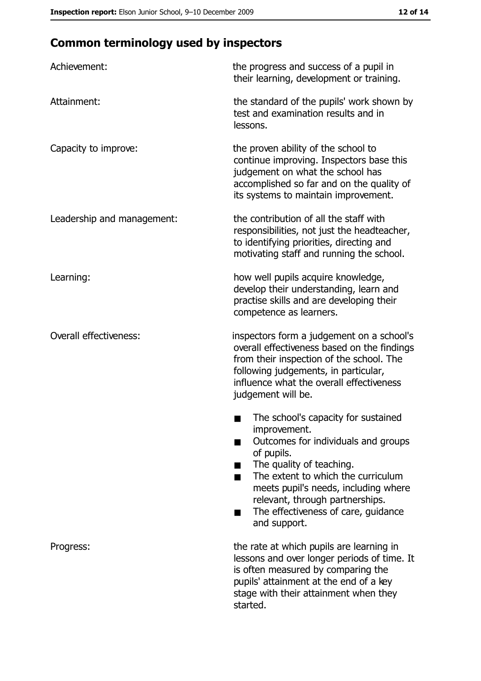# **Common terminology used by inspectors**

| Achievement:               | the progress and success of a pupil in<br>their learning, development or training.                                                                                                                                                                                                                           |
|----------------------------|--------------------------------------------------------------------------------------------------------------------------------------------------------------------------------------------------------------------------------------------------------------------------------------------------------------|
| Attainment:                | the standard of the pupils' work shown by<br>test and examination results and in<br>lessons.                                                                                                                                                                                                                 |
| Capacity to improve:       | the proven ability of the school to<br>continue improving. Inspectors base this<br>judgement on what the school has<br>accomplished so far and on the quality of<br>its systems to maintain improvement.                                                                                                     |
| Leadership and management: | the contribution of all the staff with<br>responsibilities, not just the headteacher,<br>to identifying priorities, directing and<br>motivating staff and running the school.                                                                                                                                |
| Learning:                  | how well pupils acquire knowledge,<br>develop their understanding, learn and<br>practise skills and are developing their<br>competence as learners.                                                                                                                                                          |
| Overall effectiveness:     | inspectors form a judgement on a school's<br>overall effectiveness based on the findings<br>from their inspection of the school. The<br>following judgements, in particular,<br>influence what the overall effectiveness<br>judgement will be.                                                               |
|                            | The school's capacity for sustained<br>improvement.<br>Outcomes for individuals and groups<br>of pupils.<br>The quality of teaching.<br>The extent to which the curriculum<br>meets pupil's needs, including where<br>relevant, through partnerships.<br>The effectiveness of care, guidance<br>and support. |
| Progress:                  | the rate at which pupils are learning in<br>lessons and over longer periods of time. It<br>is often measured by comparing the<br>pupils' attainment at the end of a key<br>stage with their attainment when they<br>started.                                                                                 |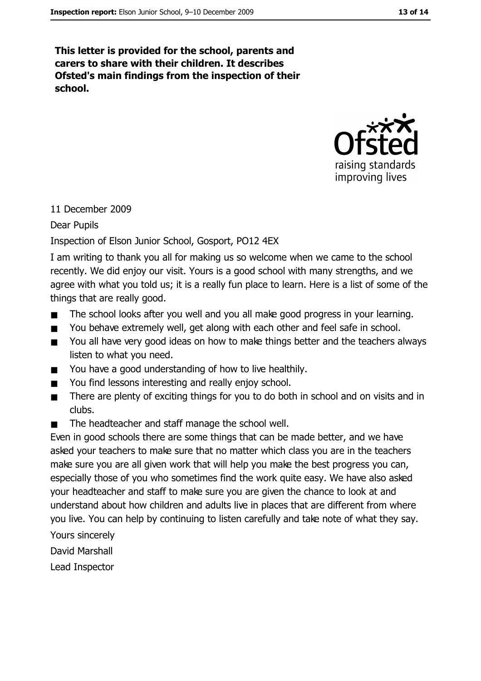This letter is provided for the school, parents and carers to share with their children. It describes Ofsted's main findings from the inspection of their school.



#### 11 December 2009

#### Dear Pupils

#### Inspection of Elson Junior School, Gosport, PO12 4EX

I am writing to thank you all for making us so welcome when we came to the school recently. We did enjoy our visit. Yours is a good school with many strengths, and we agree with what you told us; it is a really fun place to learn. Here is a list of some of the things that are really good.

- The school looks after you well and you all make good progress in your learning.  $\blacksquare$
- You behave extremely well, get along with each other and feel safe in school.  $\blacksquare$
- You all have very good ideas on how to make things better and the teachers always  $\blacksquare$ listen to what you need.
- You have a good understanding of how to live healthily.  $\blacksquare$
- You find lessons interesting and really enjoy school.  $\blacksquare$
- There are plenty of exciting things for you to do both in school and on visits and in  $\blacksquare$ clubs.
- The headteacher and staff manage the school well.  $\blacksquare$

Even in good schools there are some things that can be made better, and we have asked your teachers to make sure that no matter which class you are in the teachers make sure you are all given work that will help you make the best progress you can, especially those of you who sometimes find the work quite easy. We have also asked your headteacher and staff to make sure you are given the chance to look at and understand about how children and adults live in places that are different from where you live. You can help by continuing to listen carefully and take note of what they say.

- Yours sincerely
- David Marshall
- Lead Inspector